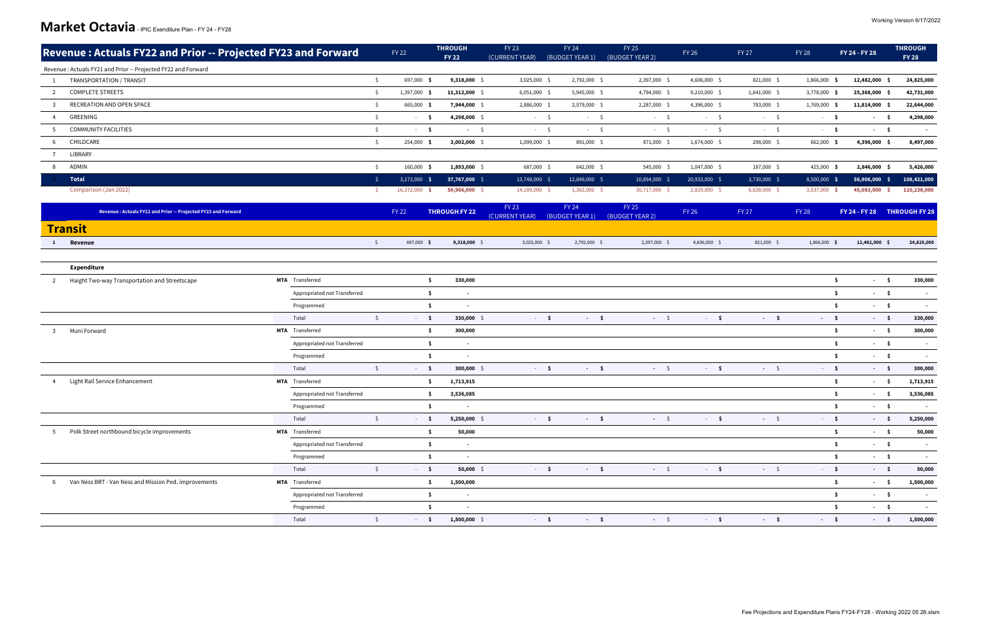|   | Revenue: Actuals FY22 and Prior -- Projected FY23 and Forward |                              |              | <b>FY 22</b>        | <b>THROUGH</b><br><b>FY 22</b> | <b>FY 23</b><br>(CURRENT YEAR) | <b>FY 24</b><br>(BUDGET YEAR 1) |      | <b>FY 25</b><br>(BUDGET YEAR 2) | <b>FY 26</b>                 | <b>FY 27</b> | <b>FY 28</b>                | FY 24 - FY 28                   | <b>THROUGH</b><br><b>FY 28</b> |                          |
|---|---------------------------------------------------------------|------------------------------|--------------|---------------------|--------------------------------|--------------------------------|---------------------------------|------|---------------------------------|------------------------------|--------------|-----------------------------|---------------------------------|--------------------------------|--------------------------|
|   | Revenue: Actuals FY21 and Prior -- Projected FY22 and Forward |                              |              |                     |                                |                                |                                 |      |                                 |                              |              |                             |                                 |                                |                          |
|   | TRANSPORTATION / TRANSIT                                      |                              | $\mathsf{S}$ | 697,000 \$          | $9,318,000$ \$                 | 3,025,000 \$                   | 2,792,000 \$                    |      | 2,397,000 \$                    | 4,606,000 \$                 | 821,000 \$   | 1,866,000 \$                | 12,482,000 \$                   |                                | 24,825,000               |
| 2 | <b>COMPLETE STREETS</b>                                       |                              | $\mathsf{S}$ | 1,397,000 \$        | 11,312,000 \$                  | $6,051,000$ \$                 | 5,945,000 \$                    |      | 4,794,000 \$                    | $9,210,000$ \$               | 1,641,000 \$ | 3,778,000 \$                | 25,368,000 \$                   |                                | 42,731,000               |
|   | RECREATION AND OPEN SPACE                                     |                              | $\mathsf{S}$ | 665,000 \$          | 7,944,000 \$                   | 2,886,000 \$                   | 2,579,000 \$                    |      | 2,287,000 \$                    | 4,396,000 \$                 | 783,000 \$   | 1,769,000 \$                | 11,814,000 \$                   |                                | 22,644,000               |
|   | GREENING                                                      |                              | $\mathsf{S}$ | $-5$                | 4,298,000 \$                   | $-5$                           |                                 | $-5$ | $-5$                            | $-5$                         | $-5$         | $-5$                        | $-5$                            |                                | 4,298,000                |
|   | <b>COMMUNITY FACILITIES</b>                                   |                              | \$           | $-5$                | $-5$                           | $-5$                           |                                 | $-5$ | $-5$                            | $-5$                         | $-5$         | - \$<br>$\sigma_{\rm{max}}$ | $-5$                            |                                |                          |
|   | CHILDCARE                                                     |                              | $\mathsf{S}$ | 254,000 \$          | $3,002,000$ \$                 | 1,099,000 \$                   | 891,000 \$                      |      | 871,000 \$                      | 1,674,000 \$                 | 298,000 \$   | 662,000 \$                  | 4,396,000 \$                    |                                | 8,497,000                |
|   | LIBRARY                                                       |                              |              |                     |                                |                                |                                 |      |                                 |                              |              |                             |                                 |                                |                          |
| 8 | ADMIN                                                         |                              | $\mathsf{S}$ | 160,000 \$          | $1,893,000$ \$                 | 687,000 \$                     | 642,000 \$                      |      | 545,000 \$                      | 1,047,000 \$                 | 187,000 \$   | 425,000 \$                  | 2,846,000 \$                    |                                | 5,426,000                |
|   | <b>Total</b>                                                  |                              | S.           | $3,173,000$ \$      | 37,767,000 \$                  | 13,748,000 \$                  | 12,849,000 \$                   |      | 10,894,000 \$                   | 20,933,000 \$                | 3,730,000 \$ | $8,500,000$ \$              | 56,906,000 \$                   |                                | 108,421,000              |
|   | Comparison (Jan 2022)                                         |                              | -S.          | 16,372,000 \$       | 50,966,000 \$                  | 14,189,000 \$                  | 1,362,000 \$                    |      | 30,717,000 \$                   | 2,829,000 \$                 | 6,638,000 \$ | 3,537,000 \$                | 45,083,000                      | - S                            | 110,238,000              |
|   |                                                               |                              |              |                     |                                | <b>FY 23</b>                   | FY 24                           |      | <b>FY 25</b>                    |                              |              |                             |                                 |                                |                          |
|   | Revenue: Actuals FY22 and Prior -- Projected FY23 and Forward |                              |              | <b>FY 22</b>        | <b>THROUGH FY 22</b>           | (CURRENT YEAR)                 | (BUDGET YEAR 1)                 |      | (BUDGET YEAR 2)                 | <b>FY 26</b>                 | <b>FY 27</b> | <b>FY 28</b>                | FY 24 - FY 28 THROUGH FY 28     |                                |                          |
|   | <b>Transit</b>                                                |                              |              |                     |                                |                                |                                 |      |                                 |                              |              |                             |                                 |                                |                          |
|   | 1 Revenue                                                     |                              | $\mathsf{S}$ | 697,000 \$          | $9,318,000$ \$                 | $3,025,000$ \$                 | 2,792,000 \$                    |      | 2,397,000 \$                    | 4,606,000 \$                 | 821,000 \$   | 1,866,000 \$                | 12,482,000 \$                   |                                | 24,825,000               |
|   |                                                               |                              |              |                     |                                |                                |                                 |      |                                 |                              |              |                             |                                 |                                |                          |
|   | <b>Expenditure</b>                                            |                              |              |                     |                                |                                |                                 |      |                                 |                              |              |                             |                                 |                                |                          |
| 2 | Haight Two-way Transportation and Streetscape                 | <b>MTA</b> Transferred       |              | \$                  | 330,000                        |                                |                                 |      |                                 |                              |              |                             | -\$<br>$\sim$ 5                 |                                | 330,000                  |
|   |                                                               | Appropriated not Transferred |              | $\ddot{\mathsf{s}}$ | $\sim$                         |                                |                                 |      |                                 |                              |              |                             | -\$<br>$-5$                     |                                | $\overline{\phantom{a}}$ |
|   |                                                               | Programmed                   |              | \$                  | $\overline{\phantom{a}}$       |                                |                                 |      |                                 |                              |              | Ŝ.                          | $-5$                            |                                |                          |
|   |                                                               | Total                        | $\zeta$      | $-5$                | 330,000 \$                     | $-5$                           |                                 | $-5$ | $-5$                            | $-5$                         | $-5$         | $-5$                        | $-5$                            |                                | 330,000                  |
| 3 | Muni Forward                                                  | <b>MTA</b> Transferred       |              | -\$                 | 300,000                        |                                |                                 |      |                                 |                              |              |                             | -\$<br>$-5$                     |                                | 300,000                  |
|   |                                                               | Appropriated not Transferred |              | $\ddot{\mathsf{s}}$ | $\sim$                         |                                |                                 |      |                                 |                              |              |                             | $\ddot{\mathsf{s}}$<br>$\sim$ 5 |                                | $\sim$                   |
|   |                                                               | Programmed                   |              | \$                  |                                |                                |                                 |      |                                 |                              |              | Ŝ.                          | $-5$                            |                                |                          |
|   |                                                               | Total                        | $\zeta$      | $-5$                | $300,000$ \$                   | $-5$                           |                                 | $-5$ | $-5$                            | $-5$                         | $-5$         | $-5$                        | $\sim$ \$                       |                                | 300,000                  |
| 4 | Light Rail Service Enhancement                                | <b>MTA</b> Transferred       |              | $\ddot{\mathsf{s}}$ | 1,713,915                      |                                |                                 |      |                                 |                              |              |                             | -\$<br>$-5$                     |                                | 1,713,915                |
|   |                                                               | Appropriated not Transferred |              | -\$                 | 3,536,085                      |                                |                                 |      |                                 |                              |              |                             | -\$<br>$\sim$ \$                |                                | 3,536,085                |
|   |                                                               | Programmed                   |              | \$                  | $\sim$                         |                                |                                 |      |                                 |                              |              |                             | $-5$<br>\$                      |                                | $\sim$                   |
|   |                                                               | Total                        | $\zeta$      | $-5$                | 5,250,000 \$                   | $-5$                           |                                 | $-5$ | $-5$                            | $\sim$ - $\sim$ 5 $^{\circ}$ | $-5$         | $-5$                        | $-5$                            |                                | 5,250,000                |
| 5 | Polk Street northbound bicycle improvements                   | MTA Transferred              |              | \$                  | 50,000                         |                                |                                 |      |                                 |                              |              |                             | $\ddot{\bm{s}}$<br>$-5$         |                                | 50,000                   |
|   |                                                               | Appropriated not Transferred |              | $\ddot{\mathsf{s}}$ | $\sim$                         |                                |                                 |      |                                 |                              |              |                             | $\ddot{\bm{s}}$<br>$-5$         |                                | $\sim$                   |
|   |                                                               | Programmed                   |              | -\$                 | $\sim$                         |                                |                                 |      |                                 |                              |              |                             | -\$<br>$-5$                     |                                | $\sim$                   |
|   |                                                               | Total                        | $\zeta$      | $-5$                | $50,000$ \$                    | $-5$                           |                                 | $-5$ | $-5$                            | $-5$                         | $-5$         | $-5$                        | $-5$                            |                                | 50,000                   |
| 6 | Van Ness BRT - Van Ness and Mission Ped. improvements         | MTA Transferred              |              | $\ddot{\mathsf{s}}$ | 1,500,000                      |                                |                                 |      |                                 |                              |              |                             | -\$<br>$-5$                     |                                | 1,500,000                |
|   |                                                               | Appropriated not Transferred |              | $\ddot{\mathsf{s}}$ | $\sim$                         |                                |                                 |      |                                 |                              |              |                             | $\ddot{\mathsf{s}}$<br>$-5$     |                                | $\sim$                   |
|   |                                                               | Programmed                   |              | $\mathsf{S}$        | $\sim$                         |                                |                                 |      |                                 |                              |              |                             | $\ddot{\mathsf{s}}$<br>$-5$     |                                | $\sim$                   |
|   |                                                               | Total                        | $\zeta$      | $-5$                | $1,500,000$ \$                 | $-5$                           |                                 | $-5$ | $-5$                            | $-5$                         | $-5$         | $-5$                        | $-5$                            |                                | 1,500,000                |
|   |                                                               |                              |              |                     |                                |                                |                                 |      |                                 |                              |              |                             |                                 |                                |                          |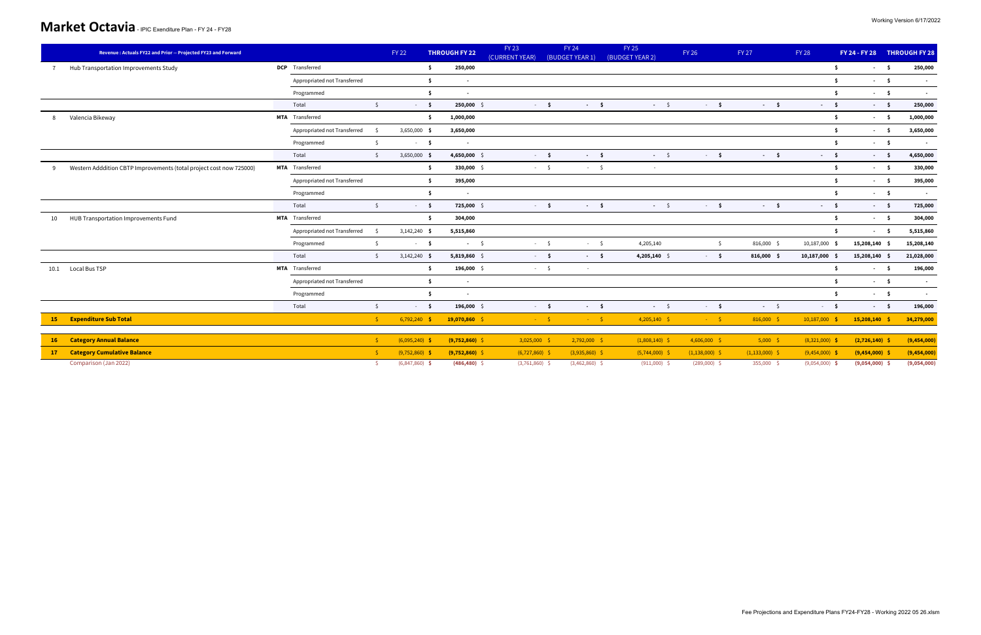|                | Revenue: Actuals FY22 and Prior -- Projected FY23 and Forward       |                              |              | <b>FY 22</b>     |                 | <b>THROUGH FY 22</b> | <b>FY 23</b><br>(CURRENT YEAR) | <b>FY 24</b><br>(BUDGET YEAR 1) | <b>FY 25</b><br>(BUDGET YEAR 2) | <b>FY 26</b>     |              | <b>FY 27</b>     | <b>FY 28</b> |                  | FY 24 - FY 28 THROUGH FY 28 |      |             |
|----------------|---------------------------------------------------------------------|------------------------------|--------------|------------------|-----------------|----------------------|--------------------------------|---------------------------------|---------------------------------|------------------|--------------|------------------|--------------|------------------|-----------------------------|------|-------------|
| $\overline{7}$ | Hub Transportation Improvements Study                               | DCP Transferred              |              |                  | S.              | 250,000              |                                |                                 |                                 |                  |              |                  |              | Ŝ.               |                             | $-5$ | 250,000     |
|                |                                                                     | Appropriated not Transferred |              |                  | \$              | $\blacksquare$       |                                |                                 |                                 |                  |              |                  |              | Ŝ.               |                             | $-5$ | $\sim$      |
|                |                                                                     | Programmed                   |              |                  | S.              | $\sim$               |                                |                                 |                                 |                  |              |                  |              | Ŝ.               |                             | $-5$ | $\sim$      |
|                |                                                                     | Total                        | $\mathsf{S}$ |                  | $-5$            | 250,000 \$           | $-5$                           | $-5$                            | $-5$                            |                  | $-5$         | $-5$             |              | $-5$             |                             | $-5$ | 250,000     |
| 8              | Valencia Bikeway                                                    | MTA Transferred              |              |                  | Ŝ.              | 1,000,000            |                                |                                 |                                 |                  |              |                  |              | - \$             |                             | $-5$ | 1,000,000   |
|                |                                                                     | Appropriated not Transferred | $\mathsf{S}$ | 3,650,000 \$     |                 | 3,650,000            |                                |                                 |                                 |                  |              |                  |              | Ŝ.               |                             | $-5$ | 3,650,000   |
|                |                                                                     | Programmed                   | $\mathsf{S}$ |                  | $-5$            | $\sim$               |                                |                                 |                                 |                  |              |                  |              | Ŝ.               | $-5$                        |      | $\sim 100$  |
|                |                                                                     | Total                        | S.           | $3,650,000$ \$   |                 | 4,650,000 \$         | $-5$                           | $-5$                            | $-5$                            |                  | $-5$         | $-5$             |              | $-5$             | $-5$                        |      | 4,650,000   |
| $\mathbf{q}$   | Western Adddition CBTP Improvements (total project cost now 725000) | MTA Transferred              |              |                  | -\$             | 330,000 \$           | $-5$                           | $-5$                            | $\sim$                          |                  |              |                  |              | Ŝ.               |                             | $-5$ | 330,000     |
|                |                                                                     | Appropriated not Transferred |              |                  | $\ddot{\bm{s}}$ | 395,000              |                                |                                 |                                 |                  |              |                  |              | -Ŝ               |                             | $-5$ | 395,000     |
|                |                                                                     | Programmed                   |              |                  | \$              | $\sim$               |                                |                                 |                                 |                  |              |                  |              | Ŝ.               |                             | $-5$ | $\sim$      |
|                |                                                                     | Total                        | $\mathsf{S}$ |                  | $-5$            | 725,000 \$           | $-5$                           | $-5$                            | $-5$                            |                  | $-5$         | $-5$             |              | $-5$             |                             | $-5$ | 725,000     |
| 10             | HUB Transportation Improvements Fund                                | MTA Transferred              |              |                  | $\ddot{\bm{s}}$ | 304,000              |                                |                                 |                                 |                  |              |                  |              | Ŝ.               |                             | $-5$ | 304,000     |
|                |                                                                     | Appropriated not Transferred | \$           | $3,142,240$ \$   |                 | 5,515,860            |                                |                                 |                                 |                  |              |                  |              | Ŝ                |                             | $-5$ | 5,515,860   |
|                |                                                                     | Programmed                   | $\mathsf{S}$ |                  | $-5$            | $-5$                 | $-5$                           | $-5$                            | 4,205,140                       |                  | $\mathsf{S}$ | 816,000 \$       |              | 10,187,000 \$    | 15,208,140 \$               |      | 15,208,140  |
|                |                                                                     | Total                        | $\mathsf{S}$ | $3,142,240$ \$   |                 | $5,819,860$ \$       | $-5$                           | $-5$                            | 4,205,140 $\sqrt{ }$            |                  | $-5$         | $816,000$ \$     |              | 10,187,000 \$    | 15,208,140 \$               |      | 21,028,000  |
|                | 10.1 Local Bus TSP                                                  | MTA Transferred              |              |                  | -\$             | 196,000 \$           | $-5$                           | $\overline{a}$                  |                                 |                  |              |                  |              | -Ŝ               |                             | $-5$ | 196,000     |
|                |                                                                     | Appropriated not Transferred |              |                  | -\$             | $\sim$               |                                |                                 |                                 |                  |              |                  |              | Ŝ.               |                             | $-5$ | $\sim$      |
|                |                                                                     | Programmed                   |              |                  | Ŝ.              | $\sim$               |                                |                                 |                                 |                  |              |                  |              | -Ŝ               |                             | $-5$ | $\sim$      |
|                |                                                                     | Total                        | $\mathsf{S}$ |                  | $-5$            | 196,000 \$           | $-5$                           | $-5$                            | $-5$                            |                  | $-5$         | $-5$             |              | $-5$             | $-5$                        |      | 196,000     |
|                | 15 Expenditure Sub Total                                            |                              | S            | $6,792,240$ \$   |                 | 19,070,860 \$        | $-5$                           | $-5$                            | $4,205,140$ \$                  |                  | $-5$         | $816,000$ \$     |              | $10,187,000$ \$  | 15,208,140 \$               |      | 34,279,000  |
|                |                                                                     |                              |              |                  |                 |                      |                                |                                 |                                 |                  |              |                  |              |                  |                             |      |             |
| <b>16</b>      | <b>Category Annual Balance</b>                                      |                              | S.           | $(6,095,240)$ \$ |                 | $(9,752,860)$ \$     | $3,025,000$ \$                 | $2,792,000$ \$                  | $(1,808,140)$ \$                | $4,606,000$ \$   |              | $5,000$ \$       |              | $(8,321,000)$ \$ | $(2,726,140)$ \$            |      | (9,454,000) |
| 17             | <b>Category Cumulative Balance</b>                                  |                              | S.           | $(9,752,860)$ \$ |                 | $(9,752,860)$ \$     | $(6, 727, 860)$ \$             | $(3,935,860)$ \$                | $(5,744,000)$ \$                | $(1,138,000)$ \$ |              | $(1,133,000)$ \$ |              | $(9,454,000)$ \$ | $(9,454,000)$ \$            |      | (9,454,000) |
|                | Comparison (Jan 2022)                                               |                              |              | $(6,847,860)$ \$ |                 | $(486, 480)$ \$      | $(3,761,860)$ \$               | $(3,462,860)$ \$                | $(911,000)$ \$                  | $(289,000)$ \$   |              | 355,000 \$       |              | $(9,054,000)$ \$ | $(9,054,000)$ \$            |      | (9,054,000) |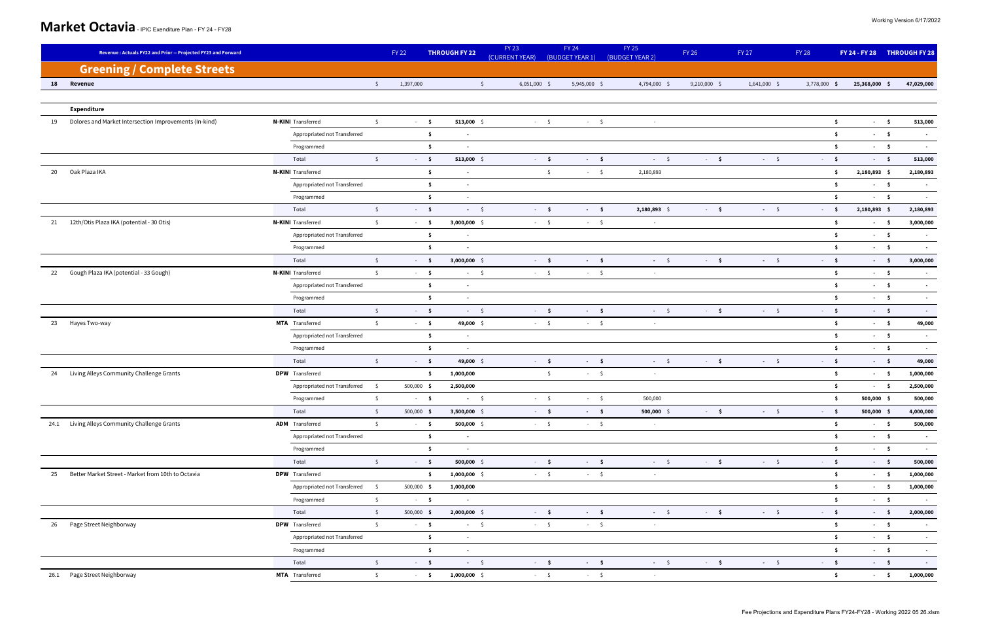|    | Revenue: Actuals FY22 and Prior -- Projected FY23 and Forward |                                                        | <b>FY 22</b>  |                                      | <b>THROUGH FY 22</b>     | <b>FY 23</b><br>(CURRENT YEAR) | <b>FY 24</b><br>(BUDGET YEAR 1) | <b>FY 25</b><br>(BUDGET YEAR 2) | <b>FY 26</b>   | FY 27          | <b>FY 28</b>                               |               | FY 24 - FY 28 THROUGH FY 28 |
|----|---------------------------------------------------------------|--------------------------------------------------------|---------------|--------------------------------------|--------------------------|--------------------------------|---------------------------------|---------------------------------|----------------|----------------|--------------------------------------------|---------------|-----------------------------|
|    | <b>Greening / Complete Streets</b>                            |                                                        |               |                                      |                          |                                |                                 |                                 |                |                |                                            |               |                             |
| 18 | Revenue                                                       |                                                        | $\mathsf{S}$  | 1,397,000                            | $\mathsf{S}$             | $6,051,000$ \$                 | 5,945,000 \$                    | 4,794,000 \$                    | $9,210,000$ \$ | $1,641,000$ \$ | 3,778,000 \$                               | 25,368,000 \$ | 47,029,000                  |
|    |                                                               |                                                        |               |                                      |                          |                                |                                 |                                 |                |                |                                            |               |                             |
|    | <b>Expenditure</b>                                            |                                                        |               |                                      |                          |                                |                                 |                                 |                |                |                                            |               |                             |
| 19 | Dolores and Market Intersection Improvements (In-kind)        | <b>N-KIN</b> I Transferred                             | $\mathsf{S}$  | $-5$                                 | 513,000 \$               | $-5$                           | $-5$                            | $\sim$                          |                |                | $\ddot{\mathsf{s}}$                        | $-5$          | 513,000                     |
|    |                                                               | Appropriated not Transferred                           |               | $\ddot{\mathsf{s}}$                  | $\blacksquare$           |                                |                                 |                                 |                |                | -\$                                        | $-5$          | $\sim$ $-$                  |
|    |                                                               | Programmed                                             |               | \$                                   | $\overline{\phantom{a}}$ |                                |                                 |                                 |                |                | \$                                         | $-5$          | $\sim$                      |
|    |                                                               | Total                                                  | $\mathsf{S}$  | $-5$                                 | 513,000 \$               | $-5$                           | $-5$                            | $-5$                            | $-5$           | $-5$           | $-5$                                       | $-5$          | 513,000                     |
| 20 | Oak Plaza IKA                                                 | <b>N-KIN</b> Transferred                               |               | $\ddot{\mathsf{s}}$                  | $\blacksquare$           |                                | $\sqrt{2}$<br>$-5$              | 2,180,893                       |                |                | \$                                         | 2,180,893 \$  | 2,180,893                   |
|    |                                                               | Appropriated not Transferred                           |               | $\ddot{\mathsf{s}}$                  | $\sim$                   |                                |                                 |                                 |                |                | $\ddot{\mathsf{s}}$                        | $-5$          | $\sim$                      |
|    |                                                               | Programmed                                             |               | $\ddot{\bm{s}}$                      | $\sim$                   |                                |                                 |                                 |                |                | -\$                                        | $-5$          | $\sim$                      |
|    |                                                               | Total                                                  | $\mathsf{S}$  | $-5$                                 | $-5$                     | $-5$                           | $-5$                            | 2,180,893 \$                    | $-5$           | $-5$           | $-5$                                       | 2,180,893 \$  | 2,180,893                   |
| 21 | 12th/Otis Plaza IKA (potential - 30 Otis)                     | <b>N-KIN</b> Transferred                               | $\mathsf{S}$  | $-5$                                 | $3,000,000$ \$           | $-5$                           | $-5$                            | $\sim$                          |                |                | \$                                         | $-5$          | 3,000,000                   |
|    |                                                               | Appropriated not Transferred                           |               | $\ddot{\mathsf{s}}$                  | $\blacksquare$           |                                |                                 |                                 |                |                | \$                                         | $-5$          | $\sim$                      |
|    |                                                               | Programmed                                             |               | \$                                   | $\blacksquare$           |                                |                                 |                                 |                |                | Ŝ.                                         | $-5$          | $\sim$                      |
|    |                                                               | Total                                                  | $\mathsf{S}$  | $-5$                                 | $3,000,000$ \$           | $-5$                           | $-5$                            | $-5$                            | $-5$           | $-5$           | $-5$                                       | $-5$          | 3,000,000                   |
| 22 | Gough Plaza IKA (potential - 33 Gough)                        | <b>N-KIN</b> I Transferred                             | $\mathsf{S}$  | $-5$                                 | $-5$                     | $-5$                           | $-5$                            | $\sim$                          |                |                | $\ddot{\mathsf{s}}$                        | $-5$          |                             |
|    |                                                               | Appropriated not Transferred                           |               | $\ddot{\mathsf{s}}$                  | $\sim$                   |                                |                                 |                                 |                |                | $\ddot{\mathsf{s}}$                        | $-5$          | $\sim$                      |
|    |                                                               | Programmed                                             |               | -\$                                  | $\blacksquare$           |                                |                                 |                                 |                |                | Ŝ.                                         | $-5$          | $\sim$                      |
|    |                                                               | Total                                                  | $\mathsf{S}$  | $-5$                                 | $-5$                     | $-5$                           | $-5$                            | $-5$                            | $-5$           | $-5$           | $-5$                                       | $-5$          | $\sim$                      |
| 23 | Hayes Two-way                                                 | MTA Transferred                                        | $\mathsf{S}$  | $\sim$ $-$ \$                        | 49,000 \$                | $-5$                           | $-5$                            | $\sim$ $-$                      |                |                | -\$                                        | $\sim$ 5      | 49,000                      |
|    |                                                               | Appropriated not Transferred                           |               | $\ddot{\mathsf{s}}$                  | $\blacksquare$           |                                |                                 |                                 |                |                | $\ddot{\mathsf{s}}$                        | $-5$          | $\sim$                      |
|    |                                                               | Programmed                                             |               | \$                                   | $\blacksquare$           |                                |                                 |                                 |                |                | -\$                                        | $-5$          | $\sim$                      |
|    |                                                               | Total                                                  | $\mathsf{S}$  | $-5$                                 | 49,000 \$                | $-5$                           | $-5$                            | $-5$                            | $-5$           | $-5$           | $-5$                                       | $-5$          | 49,000                      |
| 24 | Living Alleys Community Challenge Grants                      | <b>DPW</b> Transferred                                 |               | -\$                                  | 1,000,000                |                                | $\mathsf{S}$<br>$-5$            | $\sim$                          |                |                | \$                                         | $-5$          | 1,000,000                   |
|    |                                                               | Appropriated not Transferred<br>- Ś                    |               | 500,000 \$                           | 2,500,000                |                                |                                 |                                 |                |                | Ŝ.                                         | $\sim$ \$     | 2,500,000                   |
|    |                                                               | Programmed                                             | $\mathsf{S}$  | $-5$                                 | $-5$                     | $-5$                           | $-5$                            | 500,000                         |                |                | Ŝ                                          | 500,000 \$    | 500,000                     |
|    |                                                               | Total                                                  | $\mathsf{S}$  | 500,000 \$                           | $3,500,000$ \$           | $-5$                           | $-5$                            | $500,000$ \$                    | $-5$           | $-5$           | $-5$                                       | $500,000$ \$  | 4,000,000                   |
|    | 24.1 Living Alleys Community Challenge Grants                 | <b>ADM</b> Transferred                                 | $\frac{1}{2}$ | $-5$                                 | 500,000 \$               | $-5$                           | $-5$                            | $\sim$                          |                |                | $\mathsf{\$}$                              | $-5$          | 500,000                     |
|    |                                                               | Appropriated not Transferred                           |               | $\ddot{\mathsf{s}}$                  | $\sim$                   |                                |                                 |                                 |                |                | $\ddot{\mathsf{s}}$                        | $-5$          | $\sim$                      |
|    |                                                               | Programmed<br>Total                                    |               | \$                                   | $\sim$                   |                                |                                 | $-5$                            |                |                | $\ddot{\mathsf{s}}$                        | $-5$          | $\sim$                      |
|    | Better Market Street - Market from 10th to Octavia            | <b>DPW</b> Transferred                                 | $\mathsf{S}$  | $-5$                                 | $500,000$ \$             | $-5$<br>$-5$                   | $-5$<br>$-5$                    |                                 | $-5$           | $-5$           | $-5$                                       | $-5$          | 500,000                     |
| 25 |                                                               | Appropriated not Transferred \$                        |               | $\ddot{\mathsf{s}}$<br>500,000 \$    | $1,000,000$ \$           |                                |                                 | $\sim$                          |                |                | $\ddot{\mathsf{s}}$                        | $-5$          | 1,000,000                   |
|    |                                                               |                                                        | $\mathsf{S}$  |                                      | 1,000,000                |                                |                                 |                                 |                |                | $\ddot{\mathsf{s}}$                        | $-5$          | 1,000,000                   |
|    |                                                               | Programmed<br>Total                                    | $\mathsf{S}$  | $-5$<br>$500,000$ \$                 | $\sim$<br>2,000,000 \$   | $-5$                           | $-5$                            | $-5$                            | $-5$           | $-5$           | $\ddot{\bm{s}}$<br>$-5$                    | $-5$<br>$-5$  | $\sim$<br>2,000,000         |
|    |                                                               |                                                        |               |                                      |                          |                                |                                 |                                 |                |                |                                            |               |                             |
|    | 26 Page Street Neighborway                                    | <b>DPW</b> Transferred<br>Appropriated not Transferred | $\frac{1}{2}$ | $\sim$ - $\sim$ 5 $^{\circ}$         | $-5$                     | $-5$                           | $-5$                            | $\sim$                          |                |                | $\ddot{\textbf{s}}$                        | $-5$<br>$-5$  | $\sim$ 10 $\pm$             |
|    |                                                               | Programmed                                             |               | $\ddot{\mathsf{s}}$<br>$\mathsf{\$}$ | $\sim$                   |                                |                                 |                                 |                |                | $\ddot{\mathsf{s}}$<br>$\ddot{\mathsf{s}}$ | $-5$          | $\sim$                      |
|    |                                                               | Total                                                  | $\mathsf{S}$  | $-5$                                 | $\sim$<br>$-5$           | $-5$                           | $-5$                            | $-5$                            | $-5$           | $-5$           | $-5$                                       | $-5$          | $\sim$                      |
|    | 26.1 Page Street Neighborway                                  | MTA Transferred                                        | $\mathsf{S}$  | $-5$                                 |                          | $-5$                           | $-5$                            |                                 |                |                | $\ddot{\mathsf{s}}$                        | $-5$          | $\sim 100$<br>1,000,000     |
|    |                                                               |                                                        |               |                                      | $1,000,000$ \$           |                                |                                 | $\sim$                          |                |                |                                            |               |                             |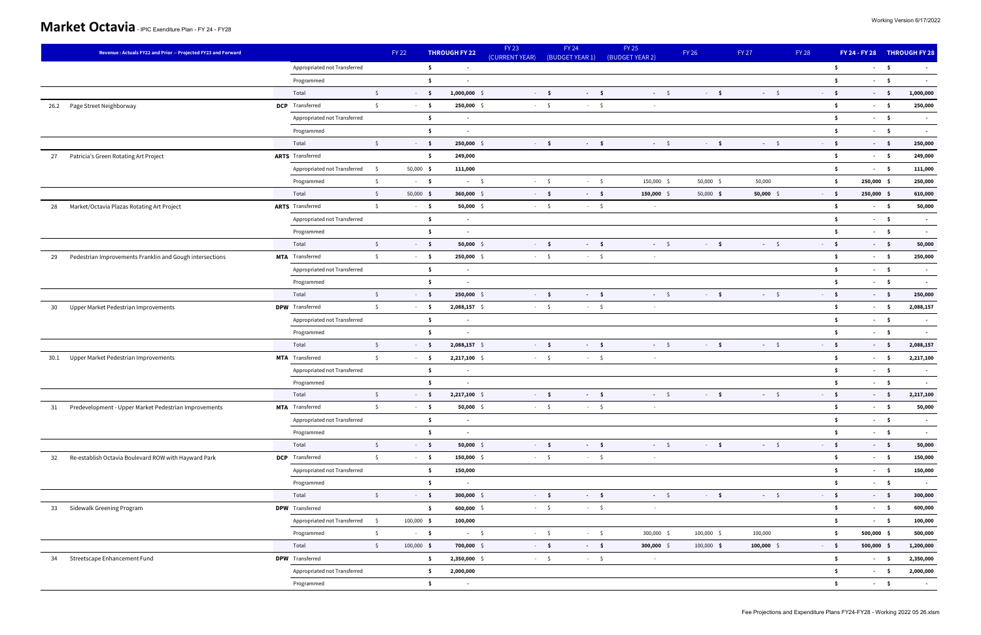|      | Revenue: Actuals FY22 and Prior -- Projected FY23 and Forward |                                         | FY 22        | <b>THROUGH FY 22</b>                  | <b>FY 23</b><br>(CURRENT YEAR) | FY 24<br>(BUDGET YEAR 1) | <b>FY 25</b><br>(BUDGET YEAR 2) | <b>FY 26</b> | FY 27        | <b>FY 28</b>        |              | FY 24 - FY 28 THROUGH FY 28 |
|------|---------------------------------------------------------------|-----------------------------------------|--------------|---------------------------------------|--------------------------------|--------------------------|---------------------------------|--------------|--------------|---------------------|--------------|-----------------------------|
|      |                                                               | Appropriated not Transferred            |              | \$<br>$\blacksquare$                  |                                |                          |                                 |              |              | $\ddot{\mathsf{s}}$ |              | $-5$<br>$\sim$              |
|      |                                                               | Programmed                              |              | $\ddot{\bm{s}}$                       |                                |                          |                                 |              |              | $\ddot{\mathsf{s}}$ |              | $-5$<br>$\sim$              |
|      |                                                               | Total<br>$\mathsf{S}$                   |              | $-5$<br>$1,000,000$ \$                | $-5$                           | $-5$                     | $-5$                            | $-5$         | $-5$         | $-5$                | $-5$         | 1,000,000                   |
| 26.2 | Page Street Neighborway                                       | <b>DCP</b> Transferred<br>$\mathsf{S}$  |              | $\sim$ - $\sim$ 5 $\,$<br>250,000 \$  | $-5$                           | $-5$                     | $\sim$                          |              |              | $\ddot{\mathsf{s}}$ | $-5$         | 250,000                     |
|      |                                                               | Appropriated not Transferred            |              | \$<br>$\blacksquare$                  |                                |                          |                                 |              |              | $\ddot{\mathsf{s}}$ |              | $-5$<br>$\sim$ $-$          |
|      |                                                               | Programmed                              |              | \$                                    |                                |                          |                                 |              |              | \$                  |              | $-5$<br>$\sim$              |
|      |                                                               | $\mathsf{S}$<br>Total                   |              | $-5$<br>250,000 \$                    | $-5$                           | $-5$                     | $-5$                            | $-5$         | $-5$         | $-5$                | $-5$         | 250,000                     |
| 27   | Patricia's Green Rotating Art Project                         | <b>ARTS</b> Transferred                 |              | Ŝ.<br>249,000                         |                                |                          |                                 |              |              | $\ddot{\mathsf{s}}$ | $-5$         | 249,000                     |
|      |                                                               | Appropriated not Transferred \$         | $50,000$ \$  | 111,000                               |                                |                          |                                 |              |              | $\ddot{\mathsf{s}}$ | $-5$         | 111,000                     |
|      |                                                               | $\mathsf{S}$<br>Programmed              |              | $-5$<br>$-5$                          | $-5$                           | $-5$                     | 150,000 \$                      | 50,000 \$    | 50,000       | $\ddot{\mathsf{s}}$ | 250,000 \$   | 250,000                     |
|      |                                                               | Total<br>$\mathsf{S}$                   | 50,000 \$    | $360,000$ \$                          | $-5$                           | $-5$                     | $150,000$ \$                    | 50,000 \$    | $50,000$ \$  | $-5$                | 250,000 \$   | 610,000                     |
| 28   | Market/Octavia Plazas Rotating Art Project                    | <b>ARTS</b> Transferred<br>$\mathsf{S}$ |              | $-5$<br>$50,000$ \$                   | $-5$                           | $-5$                     | $\sim$                          |              |              | $\ddot{\mathsf{s}}$ | $-5$         | 50,000                      |
|      |                                                               | Appropriated not Transferred            |              | \$<br>$\sim$                          |                                |                          |                                 |              |              | $\ddot{\mathsf{s}}$ |              | $-5$<br>$\sim$              |
|      |                                                               | Programmed                              |              | \$                                    |                                |                          |                                 |              |              | \$                  | $-5$         | $\sim$                      |
|      |                                                               | Total<br>$\mathsf{S}$                   |              | $-5$<br>$50,000$ \$                   | $-5$                           | $-5$                     | $-5$                            | $-5$         | $-5$         | $-5$                | $-5$         | 50,000                      |
| 29   | Pedestrian Improvements Franklin and Gough intersections      | MTA Transferred<br>$\mathsf{S}$         |              | 250,000 \$<br>$-5$                    | $-5$                           | $-5$                     | $\sim$                          |              |              | - \$                |              | $-5$<br>250,000             |
|      |                                                               | Appropriated not Transferred            |              | $\ddot{\mathsf{s}}$<br>$\blacksquare$ |                                |                          |                                 |              |              | $\ddot{\mathsf{s}}$ |              | $-5$<br>$\sim$              |
|      |                                                               | Programmed                              |              | \$<br>$\blacksquare$                  |                                |                          |                                 |              |              | $\ddot{\bm{s}}$     | $-5$         | $\sim$                      |
|      |                                                               | $\mathsf{S}$<br>Total                   |              | $-5$<br>250,000 \$                    | $-5$                           | $-5$                     | $-5$                            | $-5$         | $-5$         | $-5$                | $-5$         | 250,000                     |
| 30   | Upper Market Pedestrian Improvements                          | <b>DPW</b> Transferred<br>$\mathsf{S}$  |              | $-5$<br>$2,088,157$ \$                | $-5$                           | $-5$                     | $\sim$                          |              |              | $\ddot{\mathsf{s}}$ | $-5$         | 2,088,157                   |
|      |                                                               | Appropriated not Transferred            |              | $\ddot{\mathsf{s}}$<br>$\sim$         |                                |                          |                                 |              |              | $\ddot{\bm{s}}$     | $-5$         | $\sim$ $-$                  |
|      |                                                               | Programmed                              |              | \$                                    |                                |                          |                                 |              |              | \$                  |              | $-5$<br>$\sim$              |
|      |                                                               | Total<br>$\mathsf{S}$                   |              | 2,088,157 \$<br>$-5$                  | $-5$                           | $-5$                     | $-5$                            | $-5$         | $-5$         | $-5$                | $-5$         | 2,088,157                   |
|      | 30.1 Upper Market Pedestrian Improvements                     | <b>MTA</b> Transferred<br>$\mathsf{S}$  |              | $-5$<br>2,217,100 \$                  | $-5$                           | $-5$                     | $\sim$                          |              |              | - \$                | $-5$         | 2,217,100                   |
|      |                                                               | Appropriated not Transferred            |              | \$<br>$\blacksquare$                  |                                |                          |                                 |              |              | \$                  | $-5$         | $\sim$                      |
|      |                                                               | Programmed                              |              | $\ddot{\bm{s}}$<br>$\sim$             |                                |                          |                                 |              |              | $\ddot{\bm{s}}$     | $-5$         | $\sim$ $-$                  |
|      |                                                               | Total<br>$\zeta$                        |              | $2,217,100$ \$<br>$-5$                | $-5$                           | $-5$                     | $-5$                            | $-5$         | $-5$         | $-5$                |              | 2,217,100<br>$-5$           |
| 31   | Predevelopment - Upper Market Pedestrian Improvements         | <b>MTA</b> Transferred<br>$\zeta$       |              | $-5$<br>$50,000$ \$                   | $-5$                           | $-5$                     | $\sim$ $ \sim$                  |              |              | - \$                | $-5$         | 50,000                      |
|      |                                                               | Appropriated not Transferred            |              | \$<br>$\sim$                          |                                |                          |                                 |              |              | $\ddot{\mathsf{s}}$ | $-5$         | $\sim 100$                  |
|      |                                                               | Programmed                              |              | \$<br>$\blacksquare$                  |                                |                          |                                 |              |              | \$                  | $-5$         | $\sim$                      |
|      |                                                               | $\mathsf{S}$<br>Total                   |              | $-5$<br>$50,000$ \$                   | $-5$                           | $-5$                     | $-5$                            | $-5$         | $-5$         | $-5$                | $-5$         | 50,000                      |
| 32   | Re-establish Octavia Boulevard ROW with Hayward Park          | <b>DCP</b> Transferred<br>$\mathsf{S}$  |              | $-5$<br>$150,000$ \$                  | $-5$                           | $-5$                     | $\sim$                          |              |              | $\ddot{\mathsf{s}}$ | $-5$         | 150,000                     |
|      |                                                               | Appropriated not Transferred            |              | 150,000<br>\$                         |                                |                          |                                 |              |              | \$                  | $-5$         | 150,000                     |
|      |                                                               | Programmed                              |              | \$<br>$\sim$                          |                                |                          |                                 |              |              | - \$                | $\sim$ 5     | $\sim$                      |
|      |                                                               | $\mathsf{S}$<br>Total                   |              | $-5$<br>$300,000$ \$                  | $-5$                           | $-5$                     | $-5$                            | $-5$         | $-5$         | $-5$                | $-5$         | 300,000                     |
| 33   | Sidewalk Greening Program                                     | <b>DPW</b> Transferred                  |              | $\ddot{\mathsf{s}}$<br>$600,000$ \$   | $-5$                           | $-5$                     | $\sim$ $-$                      |              |              | $\ddot{\mathsf{s}}$ | $-5$         | 600,000                     |
|      |                                                               | Appropriated not Transferred \$         | $100,000$ \$ | 100,000                               |                                |                          |                                 |              |              | $\ddot{\mathsf{s}}$ | $-5$         | 100,000                     |
|      |                                                               | $\mathsf{S}$<br>Programmed              |              | $-5$<br>$-5$                          | $-5$                           | $-5$                     | 300,000 \$                      | $100,000$ \$ | 100,000      | $\ddot{\mathsf{s}}$ | $500,000$ \$ | 500,000                     |
|      |                                                               | Total<br>$\mathsf{S}$                   | $100,000$ \$ | 700,000 \$                            | $-5$                           | $-5$                     | $300,000$ \$                    | $100,000$ \$ | $100,000$ \$ | $-5$                | $500,000$ \$ | 1,200,000                   |
|      | 34 Streetscape Enhancement Fund                               | <b>DPW</b> Transferred                  |              | \$<br>2,350,000 \$                    | $-5$                           | $-5$                     | $\sim$                          |              |              | $\mathsf{S}$        |              | $-5$<br>2,350,000           |
|      |                                                               | Appropriated not Transferred            |              | \$<br>2,000,000                       |                                |                          |                                 |              |              | \$                  |              | $-5$<br>2,000,000           |
|      |                                                               | Programmed                              |              | \$<br>$\sim$                          |                                |                          |                                 |              |              | $\ddot{\mathsf{s}}$ | $-5$         | $\sim 100$                  |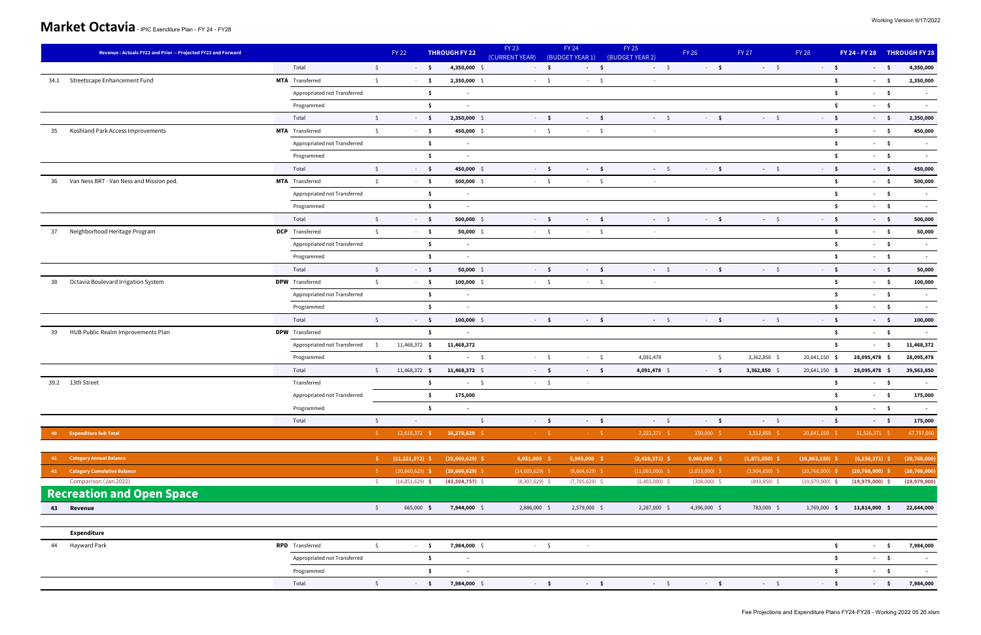| Total<br>$\mathsf{S}$<br>$-5$<br>$-5$<br>$-5$<br>$4,350,000$ \$<br>$-5$<br>$-5$<br>$-5$<br>$-5$<br>$-5$<br>34.1 Streetscape Enhancement Fund<br><b>MTA</b> Transferred<br>$\mathsf{S}$<br>2,350,000 \$<br>$\ddot{\mathsf{s}}$<br>$-5$<br>$-5$<br>$-5$<br>$-5$<br>$\sim$<br>Appropriated not Transferred<br>\$<br>$\ddot{\mathsf{s}}$<br>$-5$<br>$\sim$<br>\$<br>Ŝ.<br>$-5$<br>Programmed<br>Total<br>$\mathsf{S}$<br>2,350,000 \$<br>$-5$<br>$-5$<br>$-5$<br>$-5$<br>$-5$<br>$-5$<br>$-5$<br>$-5$<br><b>MTA</b> Transferred<br>$\mathsf{S}$<br>35<br>Koshland Park Access Improvements<br>$-5$<br>450,000 \$<br>$-5$<br>$-5$<br>-\$<br>$-5$<br>$\sim$<br>Appropriated not Transferred<br>$\mathsf{S}$<br>$\ddot{\mathsf{s}}$<br>$-5$<br>$\sim$<br>Programmed<br>\$<br>Ŝ.<br>$-5$<br>Total<br>$\sqrt{2}$<br>$-5$<br>$-5$<br>$-5$<br>$-5$<br>$-5$<br>$-5$<br>$-5$<br>450,000 \$<br>$-5$<br>Van Ness BRT - Van Ness and Mission ped.<br>$\mathsf{S}$<br>$-5$<br>$\ddot{\bm{s}}$<br><b>MTA</b> Transferred<br>$-5$<br>$500,000$ \$<br>$-5$<br>$-5$<br>36<br>$\sim$<br>Appropriated not Transferred<br>$\ddot{\mathsf{s}}$<br>\$<br>$-5$<br>$\sim$<br>$-5$<br>Programmed<br>\$<br>\$<br>$\overline{\phantom{a}}$<br>Total<br>$\sqrt{2}$<br>$-5$<br>$-5$<br>$-5$<br>$-5$<br>$500,000$ \$<br>$-5$<br>$-5$<br>$-5$<br>$-5$<br>Neighborhood Heritage Program<br><b>DCP</b> Transferred<br>37<br>$\mathsf{S}$<br>$-5$<br>$-5$<br>$\ddot{\mathsf{s}}$<br>$-5$<br>$50,000$ \$<br>$-5$<br>$\sim$<br>Appropriated not Transferred<br>$\mathsf{S}$<br>$\ddot{\mathsf{s}}$<br>$-5$<br>$\sim$ |                          | FY 24 - FY 28 THROUGH FY 28 | <b>FY 28</b> | FY 27 | <b>FY 26</b> | FY 25<br>(BUDGET YEAR 2) | <b>FY 24</b><br>(BUDGET YEAR 1) | (CURRENT YEAR) | <b>THROUGH FY 22</b> | <b>FY 22</b> |  | Revenue: Actuals FY22 and Prior -- Projected FY23 and Forward |
|------------------------------------------------------------------------------------------------------------------------------------------------------------------------------------------------------------------------------------------------------------------------------------------------------------------------------------------------------------------------------------------------------------------------------------------------------------------------------------------------------------------------------------------------------------------------------------------------------------------------------------------------------------------------------------------------------------------------------------------------------------------------------------------------------------------------------------------------------------------------------------------------------------------------------------------------------------------------------------------------------------------------------------------------------------------------------------------------------------------------------------------------------------------------------------------------------------------------------------------------------------------------------------------------------------------------------------------------------------------------------------------------------------------------------------------------------------------------------------------------------------------------------------------------------------------------------|--------------------------|-----------------------------|--------------|-------|--------------|--------------------------|---------------------------------|----------------|----------------------|--------------|--|---------------------------------------------------------------|
|                                                                                                                                                                                                                                                                                                                                                                                                                                                                                                                                                                                                                                                                                                                                                                                                                                                                                                                                                                                                                                                                                                                                                                                                                                                                                                                                                                                                                                                                                                                                                                              | 4,350,000                |                             |              |       |              |                          |                                 |                |                      |              |  |                                                               |
|                                                                                                                                                                                                                                                                                                                                                                                                                                                                                                                                                                                                                                                                                                                                                                                                                                                                                                                                                                                                                                                                                                                                                                                                                                                                                                                                                                                                                                                                                                                                                                              | 2,350,000                |                             |              |       |              |                          |                                 |                |                      |              |  |                                                               |
|                                                                                                                                                                                                                                                                                                                                                                                                                                                                                                                                                                                                                                                                                                                                                                                                                                                                                                                                                                                                                                                                                                                                                                                                                                                                                                                                                                                                                                                                                                                                                                              |                          |                             |              |       |              |                          |                                 |                |                      |              |  |                                                               |
|                                                                                                                                                                                                                                                                                                                                                                                                                                                                                                                                                                                                                                                                                                                                                                                                                                                                                                                                                                                                                                                                                                                                                                                                                                                                                                                                                                                                                                                                                                                                                                              | $\sim$                   |                             |              |       |              |                          |                                 |                |                      |              |  |                                                               |
|                                                                                                                                                                                                                                                                                                                                                                                                                                                                                                                                                                                                                                                                                                                                                                                                                                                                                                                                                                                                                                                                                                                                                                                                                                                                                                                                                                                                                                                                                                                                                                              | 2,350,000                |                             |              |       |              |                          |                                 |                |                      |              |  |                                                               |
|                                                                                                                                                                                                                                                                                                                                                                                                                                                                                                                                                                                                                                                                                                                                                                                                                                                                                                                                                                                                                                                                                                                                                                                                                                                                                                                                                                                                                                                                                                                                                                              | 450,000                  |                             |              |       |              |                          |                                 |                |                      |              |  |                                                               |
|                                                                                                                                                                                                                                                                                                                                                                                                                                                                                                                                                                                                                                                                                                                                                                                                                                                                                                                                                                                                                                                                                                                                                                                                                                                                                                                                                                                                                                                                                                                                                                              |                          |                             |              |       |              |                          |                                 |                |                      |              |  |                                                               |
|                                                                                                                                                                                                                                                                                                                                                                                                                                                                                                                                                                                                                                                                                                                                                                                                                                                                                                                                                                                                                                                                                                                                                                                                                                                                                                                                                                                                                                                                                                                                                                              | $\sim$                   |                             |              |       |              |                          |                                 |                |                      |              |  |                                                               |
|                                                                                                                                                                                                                                                                                                                                                                                                                                                                                                                                                                                                                                                                                                                                                                                                                                                                                                                                                                                                                                                                                                                                                                                                                                                                                                                                                                                                                                                                                                                                                                              | 450,000                  |                             |              |       |              |                          |                                 |                |                      |              |  |                                                               |
|                                                                                                                                                                                                                                                                                                                                                                                                                                                                                                                                                                                                                                                                                                                                                                                                                                                                                                                                                                                                                                                                                                                                                                                                                                                                                                                                                                                                                                                                                                                                                                              | 500,000                  |                             |              |       |              |                          |                                 |                |                      |              |  |                                                               |
|                                                                                                                                                                                                                                                                                                                                                                                                                                                                                                                                                                                                                                                                                                                                                                                                                                                                                                                                                                                                                                                                                                                                                                                                                                                                                                                                                                                                                                                                                                                                                                              | $\sim$                   |                             |              |       |              |                          |                                 |                |                      |              |  |                                                               |
|                                                                                                                                                                                                                                                                                                                                                                                                                                                                                                                                                                                                                                                                                                                                                                                                                                                                                                                                                                                                                                                                                                                                                                                                                                                                                                                                                                                                                                                                                                                                                                              | $\sim$                   |                             |              |       |              |                          |                                 |                |                      |              |  |                                                               |
|                                                                                                                                                                                                                                                                                                                                                                                                                                                                                                                                                                                                                                                                                                                                                                                                                                                                                                                                                                                                                                                                                                                                                                                                                                                                                                                                                                                                                                                                                                                                                                              | 500,000                  |                             |              |       |              |                          |                                 |                |                      |              |  |                                                               |
|                                                                                                                                                                                                                                                                                                                                                                                                                                                                                                                                                                                                                                                                                                                                                                                                                                                                                                                                                                                                                                                                                                                                                                                                                                                                                                                                                                                                                                                                                                                                                                              | 50,000                   |                             |              |       |              |                          |                                 |                |                      |              |  |                                                               |
|                                                                                                                                                                                                                                                                                                                                                                                                                                                                                                                                                                                                                                                                                                                                                                                                                                                                                                                                                                                                                                                                                                                                                                                                                                                                                                                                                                                                                                                                                                                                                                              | $\overline{\phantom{a}}$ |                             |              |       |              |                          |                                 |                |                      |              |  |                                                               |
| Programmed<br>\$<br>Ŝ.<br>$-5$<br>$\sim$                                                                                                                                                                                                                                                                                                                                                                                                                                                                                                                                                                                                                                                                                                                                                                                                                                                                                                                                                                                                                                                                                                                                                                                                                                                                                                                                                                                                                                                                                                                                     | $\sim$                   |                             |              |       |              |                          |                                 |                |                      |              |  |                                                               |
| $\mathsf{S}$<br>$-5$<br>$-5$<br>$-5$<br>$-5$<br>$-5$<br>$-5$<br>$-5$<br>Total<br>$-5$<br>$50,000$ \$                                                                                                                                                                                                                                                                                                                                                                                                                                                                                                                                                                                                                                                                                                                                                                                                                                                                                                                                                                                                                                                                                                                                                                                                                                                                                                                                                                                                                                                                         | 50,000                   |                             |              |       |              |                          |                                 |                |                      |              |  |                                                               |
| Octavia Boulevard Irrigation System<br><b>DPW</b> Transferred<br>$\mathsf{S}$<br>$-5$<br>$\ddot{\mathsf{s}}$<br>$-5$<br>$100,000$ \$<br>$-5$<br>$-5$<br>38<br>$\sim$                                                                                                                                                                                                                                                                                                                                                                                                                                                                                                                                                                                                                                                                                                                                                                                                                                                                                                                                                                                                                                                                                                                                                                                                                                                                                                                                                                                                         | 100,000                  |                             |              |       |              |                          |                                 |                |                      |              |  |                                                               |
| Appropriated not Transferred<br>$\ddot{\mathsf{s}}$<br>$\ddot{\mathsf{s}}$<br>$-5$<br>$\sim$                                                                                                                                                                                                                                                                                                                                                                                                                                                                                                                                                                                                                                                                                                                                                                                                                                                                                                                                                                                                                                                                                                                                                                                                                                                                                                                                                                                                                                                                                 | $\sim$                   |                             |              |       |              |                          |                                 |                |                      |              |  |                                                               |
| \$<br>Ŝ.<br>$-5$<br>Programmed                                                                                                                                                                                                                                                                                                                                                                                                                                                                                                                                                                                                                                                                                                                                                                                                                                                                                                                                                                                                                                                                                                                                                                                                                                                                                                                                                                                                                                                                                                                                               |                          |                             |              |       |              |                          |                                 |                |                      |              |  |                                                               |
| Total<br>$\frac{1}{2}$<br>$-5$<br>$100,000$ \$<br>$-5$<br>$-5$<br>$-5$<br>$-5$<br>$-5$<br>$-5$<br>$-5$                                                                                                                                                                                                                                                                                                                                                                                                                                                                                                                                                                                                                                                                                                                                                                                                                                                                                                                                                                                                                                                                                                                                                                                                                                                                                                                                                                                                                                                                       | 100,000                  |                             |              |       |              |                          |                                 |                |                      |              |  |                                                               |
| HUB Public Realm Improvements Plan<br><b>DPW</b> Transferred<br>\$<br>-\$<br>$-5$<br>39<br>$\sim$                                                                                                                                                                                                                                                                                                                                                                                                                                                                                                                                                                                                                                                                                                                                                                                                                                                                                                                                                                                                                                                                                                                                                                                                                                                                                                                                                                                                                                                                            | $\sim$                   |                             |              |       |              |                          |                                 |                |                      |              |  |                                                               |
| Appropriated not Transferred<br>11,468,372 \$<br>Ŝ.<br>$-5$<br>$\mathsf{S}$<br>11,468,372                                                                                                                                                                                                                                                                                                                                                                                                                                                                                                                                                                                                                                                                                                                                                                                                                                                                                                                                                                                                                                                                                                                                                                                                                                                                                                                                                                                                                                                                                    | 11,468,372               |                             |              |       |              |                          |                                 |                |                      |              |  |                                                               |
| 3,362,850 \$<br>Programmed<br>\$<br>$-5$<br>$-5$<br>$-5$<br>4,091,478<br>$\mathsf{S}$<br>20,641,150 \$<br>28,095,478 \$                                                                                                                                                                                                                                                                                                                                                                                                                                                                                                                                                                                                                                                                                                                                                                                                                                                                                                                                                                                                                                                                                                                                                                                                                                                                                                                                                                                                                                                      | 28,095,478               |                             |              |       |              |                          |                                 |                |                      |              |  |                                                               |
| Total<br>11,468,372 \$<br>11,468,372 \$<br>$-5$<br>20,641,150 \$<br>28,095,478 \$<br>$\zeta$<br>$-5$<br>4,091,478 \$<br>$-5$<br>$3,362,850$ \$                                                                                                                                                                                                                                                                                                                                                                                                                                                                                                                                                                                                                                                                                                                                                                                                                                                                                                                                                                                                                                                                                                                                                                                                                                                                                                                                                                                                                               | 39,563,850               |                             |              |       |              |                          |                                 |                |                      |              |  |                                                               |
| 39.2 13th Street<br>Transferred<br>\$<br>$-5$<br>-\$<br>$-5$<br>$-5$<br>$\sim$                                                                                                                                                                                                                                                                                                                                                                                                                                                                                                                                                                                                                                                                                                                                                                                                                                                                                                                                                                                                                                                                                                                                                                                                                                                                                                                                                                                                                                                                                               | $\sim$                   |                             |              |       |              |                          |                                 |                |                      |              |  |                                                               |
| Appropriated not Transferred<br>Ŝ.<br>175,000<br>Ŝ.<br>$-5$                                                                                                                                                                                                                                                                                                                                                                                                                                                                                                                                                                                                                                                                                                                                                                                                                                                                                                                                                                                                                                                                                                                                                                                                                                                                                                                                                                                                                                                                                                                  | 175,000                  |                             |              |       |              |                          |                                 |                |                      |              |  |                                                               |
| \$<br>$-5$<br>\$<br>Programmed<br>$\sim$                                                                                                                                                                                                                                                                                                                                                                                                                                                                                                                                                                                                                                                                                                                                                                                                                                                                                                                                                                                                                                                                                                                                                                                                                                                                                                                                                                                                                                                                                                                                     |                          |                             |              |       |              |                          |                                 |                |                      |              |  |                                                               |
| $\mathsf{S}$<br>$-5$<br>$-5$<br>$-5$<br>$\sim$ \$<br>$-5$<br>Total<br>$\mathsf{S}$<br>$-5$<br>$-5$<br>$\sim$                                                                                                                                                                                                                                                                                                                                                                                                                                                                                                                                                                                                                                                                                                                                                                                                                                                                                                                                                                                                                                                                                                                                                                                                                                                                                                                                                                                                                                                                 | 175,000                  |                             |              |       |              |                          |                                 |                |                      |              |  |                                                               |
| 12,618,372 \$<br>$36,270,629$ \$<br>7,222,371 \$<br>150,000 \$<br>3,512,850 \$<br>$20,641,150$ \$<br>31,526,371 \$<br>40 Expenditure Sub Total<br>$\sim -5$<br>$\mathcal{A} = \mathcal{A} \mathcal{S}$<br>- S - 1                                                                                                                                                                                                                                                                                                                                                                                                                                                                                                                                                                                                                                                                                                                                                                                                                                                                                                                                                                                                                                                                                                                                                                                                                                                                                                                                                            | 67,797,000               |                             |              |       |              |                          |                                 |                |                      |              |  |                                                               |
| 41 Category Annual Balance<br>$(11, 221, 372)$ \$<br>$(20,660,629)$ \$<br>$6,051,000$ \$<br>$5,945,000$ \$<br>$(2,428,371)$ \$<br>$9,060,000$ \$<br>$(1,871,850)$ \$<br>$(16,863,150)$ \$<br>$(6, 158, 371)$ \$<br>S.                                                                                                                                                                                                                                                                                                                                                                                                                                                                                                                                                                                                                                                                                                                                                                                                                                                                                                                                                                                                                                                                                                                                                                                                                                                                                                                                                        | (20, 768, 000)           |                             |              |       |              |                          |                                 |                |                      |              |  |                                                               |
| <b>Category Cumulative Balance</b><br>$(20,660,629)$ \$<br>$(14,609,629)$ \$<br>$(8,664,629)$ \$<br>$(11,093,000)$ \$<br>$(2,033,000)$ \$<br>$(3,904,850)$ \$<br>$(20, 768, 000)$ \$<br>$(20,660,629)$ \$<br>$(20, 768, 000)$ \$<br>$42 -$                                                                                                                                                                                                                                                                                                                                                                                                                                                                                                                                                                                                                                                                                                                                                                                                                                                                                                                                                                                                                                                                                                                                                                                                                                                                                                                                   | (20, 768, 000)           |                             |              |       |              |                          |                                 |                |                      |              |  |                                                               |
| Comparison (Jan 2022)<br>$(14,851,629)$ \$<br>$(43,504,757)$ \$<br>$(8,307,629)$ \$<br>$(7,705,629)$ \$<br>$(1,403,000)$ \$<br>$(308,000)$ \$<br>$(893, 850)$ \$<br>$(19,979,000)$ \$<br>$(19,979,000)$ \$<br>S.                                                                                                                                                                                                                                                                                                                                                                                                                                                                                                                                                                                                                                                                                                                                                                                                                                                                                                                                                                                                                                                                                                                                                                                                                                                                                                                                                             | (19,979,000)             |                             |              |       |              |                          |                                 |                |                      |              |  |                                                               |
| <b>Recreation and Open Space</b>                                                                                                                                                                                                                                                                                                                                                                                                                                                                                                                                                                                                                                                                                                                                                                                                                                                                                                                                                                                                                                                                                                                                                                                                                                                                                                                                                                                                                                                                                                                                             |                          |                             |              |       |              |                          |                                 |                |                      |              |  |                                                               |
| Revenue<br>$\zeta$<br>665,000 \$<br>7,944,000 \$<br>2,886,000 \$<br>2,579,000 \$<br>2,287,000 \$<br>4,396,000 \$<br>783,000 \$<br>1,769,000 \$<br>11,814,000 \$<br>43                                                                                                                                                                                                                                                                                                                                                                                                                                                                                                                                                                                                                                                                                                                                                                                                                                                                                                                                                                                                                                                                                                                                                                                                                                                                                                                                                                                                        | 22,644,000               |                             |              |       |              |                          |                                 |                |                      |              |  |                                                               |

|--|

| Hayward Park<br>44 | <b>RPD</b> Transferred       |  | 7,984,000 . |  |  |  | 7,984,000 |
|--------------------|------------------------------|--|-------------|--|--|--|-----------|
|                    | Appropriated not Transferred |  |             |  |  |  |           |
|                    | Programmed                   |  |             |  |  |  |           |
|                    | Total                        |  | 7,984,000   |  |  |  | 7,984,000 |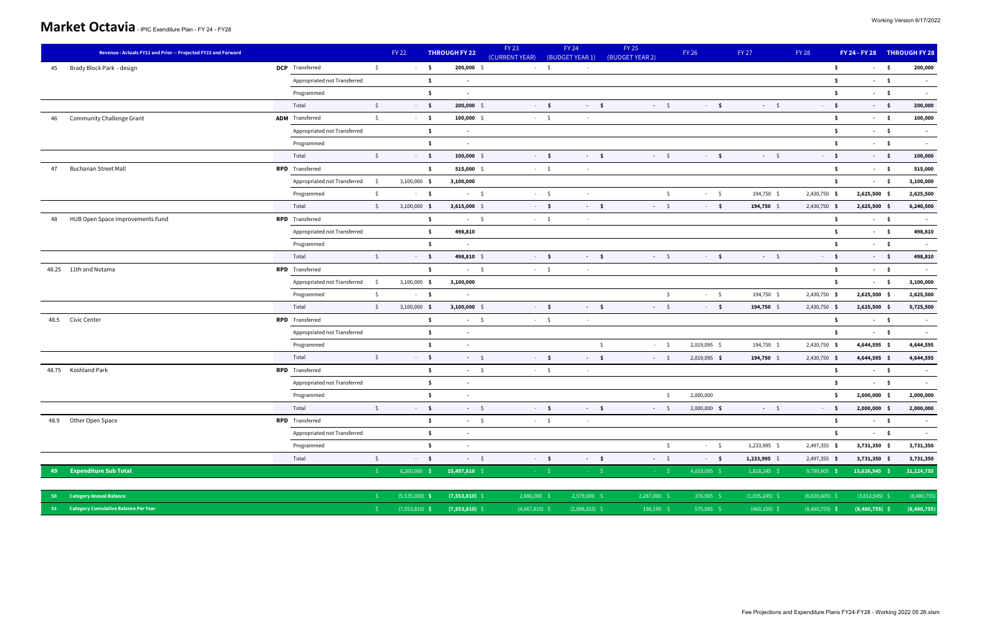| Revenue: Actuals FY22 and Prior -- Projected FY23 and Forward |                                        | <b>FY 22</b>   | <b>THROUGH FY 22</b>                  | <b>FY 23</b><br>(CURRENT YEAR) | <b>FY 24</b><br>(BUDGET YEAR 1)      | <b>FY 25</b><br>(BUDGET YEAR 2) | <b>FY 26</b>                        | <b>FY 27</b> | <b>FY 28</b>        |                | FY 24 - FY 28 THROUGH FY 28 |
|---------------------------------------------------------------|----------------------------------------|----------------|---------------------------------------|--------------------------------|--------------------------------------|---------------------------------|-------------------------------------|--------------|---------------------|----------------|-----------------------------|
| Brady Block Park - design<br>45                               | <b>DCP</b> Transferred<br>$\mathsf{S}$ | $-5$           | $200,000$ \$                          |                                | $-5$<br>$\sim$                       |                                 |                                     |              | - \$                | $\sim$ 5       | 200,000                     |
|                                                               | Appropriated not Transferred           |                | \$<br>$\blacksquare$                  |                                |                                      |                                 |                                     |              | \$                  | $-5$           | $\sim$                      |
|                                                               | Programmed                             |                | -\$<br>$\blacksquare$                 |                                |                                      |                                 |                                     |              | $\ddot{\bm{s}}$     | $-5$           | $\sim$                      |
|                                                               | $\zeta$<br>Total                       | $-5$           | $200,000$ \$                          |                                | $\sim$ \$<br>$-5$                    | $-5$                            | $-5$                                | $-5$         | $-5$                | $-5$           | 200,000                     |
| <b>Community Challenge Grant</b><br>46                        | <b>ADM</b> Transferred<br>$\mathsf{S}$ | $-5$           | $100,000$ \$                          |                                | $-5$<br>$\sim$                       |                                 |                                     |              | $\ddot{\mathsf{s}}$ | $-5$           | 100,000                     |
|                                                               | Appropriated not Transferred           |                | $\ddot{\mathsf{s}}$<br>$\blacksquare$ |                                |                                      |                                 |                                     |              | - \$                | $\sim$ 5       | $\sim$                      |
|                                                               | Programmed                             |                | -\$<br>$\blacksquare$                 |                                |                                      |                                 |                                     |              | \$                  | $-5$           | $\sim$                      |
|                                                               | $\mathsf{S}$<br>Total                  | $-5$           | $100,000$ \$                          |                                | $-5$<br>$-5$                         | $-5$                            | $-5$                                | $-5$         | $-5$                | $-5$           | 100,000                     |
| <b>Buchanan Street Mall</b><br>47                             | <b>RPD</b> Transferred                 |                | 515,000 \$<br>\$                      |                                | $-5$<br>$\sim$                       |                                 |                                     |              | $\ddot{\mathsf{s}}$ | $-5$           | 515,000                     |
|                                                               | Appropriated not Transferred<br>S.     | $3,100,000$ \$ | 3,100,000                             |                                |                                      |                                 |                                     |              | $\ddot{\bm{s}}$     | $-5$           | 3,100,000                   |
|                                                               | $\mathsf{S}$<br>Programmed             | $-5$           | $-5$                                  |                                | $-5$<br>$\sim$                       |                                 | $\zeta$<br>$-5$                     | 194,750 \$   | 2,430,750 \$        | 2,625,500 \$   | 2,625,500                   |
|                                                               | Total<br>$\mathsf{S}$                  | $3,100,000$ \$ | $3,615,000$ \$                        |                                | $-5$<br>$-5$                         | $-5$                            | $-5$                                | 194,750 \$   | 2,430,750 \$        | $2,625,500$ \$ | 6,240,500                   |
| HUB Open Space Improvements Fund<br>48                        | <b>RPD</b> Transferred                 |                | -\$<br>$-5$                           |                                | $-5$<br>$\sim$                       |                                 |                                     |              | \$                  | $-5$           | $\sim$                      |
|                                                               | Appropriated not Transferred           |                | \$<br>498,810                         |                                |                                      |                                 |                                     |              | $\ddot{\bm{s}}$     | $-5$           | 498,810                     |
|                                                               | Programmed                             |                | $\ddot{\bm{s}}$                       |                                |                                      |                                 |                                     |              | \$                  | $-5$           | $\sim$                      |
|                                                               | $\mathsf{S}$<br>Total                  | $-5$           | 498,810 \$                            |                                | $-5$<br>$-5$                         | $-5$                            | $-5$                                | $-5$         | $\sim$ - $\sim$ 5   | $-5$           | 498,810                     |
| 48.25 11th and Notama                                         | <b>RPD</b> Transferred                 |                | \$<br>$-5$                            |                                | $-5$<br>$\sim$                       |                                 |                                     |              | $\ddot{\mathsf{s}}$ | $-5$           |                             |
|                                                               | Appropriated not Transferred<br>S.     | $3,100,000$ \$ | 3,100,000                             |                                |                                      |                                 |                                     |              | $\ddot{\mathsf{s}}$ | $-5$           | 3,100,000                   |
|                                                               | Programmed<br>$\mathsf{S}$             | $-5$           | $\sim$                                |                                |                                      |                                 | \$<br>$-5$                          | 194,750 \$   | 2,430,750 \$        | 2,625,500 \$   | 2,625,500                   |
|                                                               | $\mathsf{S}$<br>Total                  | $3,100,000$ \$ | $3,100,000$ \$                        |                                | $-5$<br>$-5$                         | $-5$                            | $-5$                                | 194,750 \$   | 2,430,750 \$        | $2,625,500$ \$ | 5,725,500                   |
| 48.5 Civic Center                                             | <b>RPD</b> Transferred                 |                | -\$<br>$-5$                           |                                | $-5$<br>$\sim$                       |                                 |                                     |              | $\ddot{\mathsf{s}}$ | $-5$           | $\sim$                      |
|                                                               | Appropriated not Transferred           |                | $\ddot{\mathsf{s}}$<br>$\sim$         |                                |                                      |                                 |                                     |              | \$                  | $-5$           | $\sim$                      |
|                                                               | Programmed                             |                | -\$<br>$\blacksquare$                 |                                |                                      | $\mathsf{S}$<br>$\sim 10^{-1}$  | 2,019,095 \$<br>$\ddot{\mathsf{s}}$ | 194,750 \$   | 2,430,750 \$        | 4,644,595 \$   | 4,644,595                   |
|                                                               | $\mathsf{S}$<br>Total                  | $-5$           | $-5$                                  |                                | $-5$<br>$-5$                         | $-5$                            | 2,019,095 \$                        | $194,750$ \$ | 2,430,750 \$        | 4,644,595 \$   | 4,644,595                   |
| 48.75 Koshland Park                                           | <b>RPD</b> Transferred                 |                | \$<br>$-5$                            |                                | $-5$<br>$\sim$                       |                                 |                                     |              | - \$                | $-5$           | $\sim$                      |
|                                                               | Appropriated not Transferred           |                | -\$<br>$\overline{\phantom{a}}$       |                                |                                      |                                 |                                     |              | $\ddot{\bm{s}}$     | $-5$           | $\sim$                      |
|                                                               | Programmed                             |                | -\$<br>$\overline{\phantom{a}}$       |                                |                                      |                                 | 2,000,000<br>S.                     |              | -\$                 | 2,000,000 \$   | 2,000,000                   |
|                                                               | Total<br>$\zeta$                       | $-5$           | $-5$                                  |                                | $-5$<br>$-5$                         | $-5$                            | $2,000,000$ \$                      | $-5$         | $-5$                | 2,000,000 \$   | 2,000,000                   |
| 48.9 Other Open Space                                         | <b>RPD</b> Transferred                 |                | $\mathsf{\$}$<br>$-5$                 |                                | $-5$<br>$\sim$                       |                                 |                                     |              | $\ddot{\mathsf{s}}$ | $-5$           | $\sim$                      |
|                                                               | Appropriated not Transferred           |                | $\mathsf{S}$<br>$\sim$                |                                |                                      |                                 |                                     |              | $\ddot{\mathsf{s}}$ | $-5$           | $\sim$                      |
|                                                               | Programmed                             |                | \$<br>$\sim$                          |                                |                                      |                                 | $-5$<br>\$                          | 1,233,995 \$ | 2,497,355 \$        | 3,731,350 \$   | 3,731,350                   |
|                                                               | Total<br>$\mathsf{S}$                  | $-5$           | $-5$                                  |                                | $-5$<br>$-5$                         | $-5$                            | $-5$                                | 1,233,995 \$ | 2,497,355 \$        | 3,731,350 \$   | 3,731,350                   |
| 49 Expenditure Sub Total                                      | S.                                     | $6,200,000$ \$ | 15,497,810 \$                         |                                | $\mathcal{F} = \mathcal{S}$<br>$-15$ | $-5o$                           | 4,019,095 \$                        | 1,818,245 \$ | $9,789,605$ \$      | 15,626,945 \$  | 31, 124, 755                |

| 50 Category Annual Balance              |  |  | \$    (5,535,000) <b>\$   (7,553,810)</b> \$     2,886,000 \$     2,579,000 \$     376,905 \$   (1,035,245) \$   (8,020,605) \$   (3,812,945) \$   (8,480,755) |  |  |  |
|-----------------------------------------|--|--|----------------------------------------------------------------------------------------------------------------------------------------------------------------|--|--|--|
| 51 Category Cumulative Balance Per Year |  |  |                                                                                                                                                                |  |  |  |